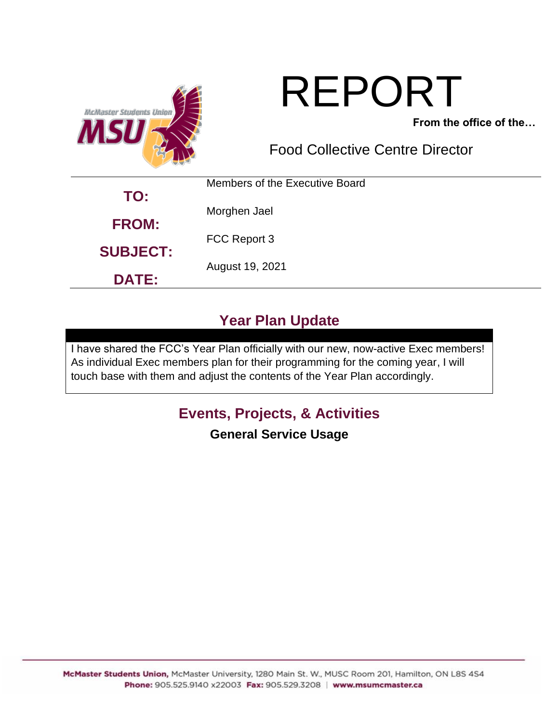

# REPORT

**From the office of the…**

Food Collective Centre Director

| TO:             | Members of the Executive Board |  |  |
|-----------------|--------------------------------|--|--|
|                 | Morghen Jael                   |  |  |
| <b>FROM:</b>    | FCC Report 3                   |  |  |
| <b>SUBJECT:</b> | August 19, 2021                |  |  |
| <b>DATE:</b>    |                                |  |  |

# **Year Plan Update**

I have shared the FCC's Year Plan officially with our new, now-active Exec members! As individual Exec members plan for their programming for the coming year, I will touch base with them and adjust the contents of the Year Plan accordingly.

# **Events, Projects, & Activities**

## **General Service Usage**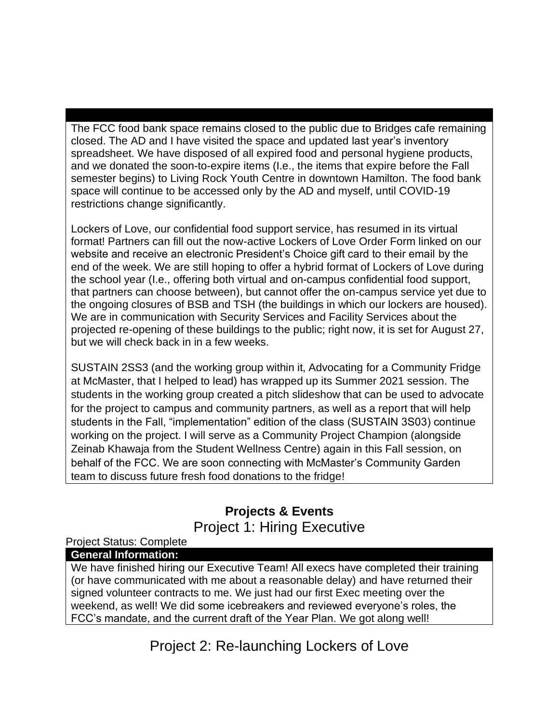The FCC food bank space remains closed to the public due to Bridges cafe remaining closed. The AD and I have visited the space and updated last year's inventory spreadsheet. We have disposed of all expired food and personal hygiene products, and we donated the soon-to-expire items (I.e., the items that expire before the Fall semester begins) to Living Rock Youth Centre in downtown Hamilton. The food bank space will continue to be accessed only by the AD and myself, until COVID-19 restrictions change significantly.

Lockers of Love, our confidential food support service, has resumed in its virtual format! Partners can fill out the now-active Lockers of Love Order Form linked on our website and receive an electronic President's Choice gift card to their email by the end of the week. We are still hoping to offer a hybrid format of Lockers of Love during the school year (I.e., offering both virtual and on-campus confidential food support, that partners can choose between), but cannot offer the on-campus service yet due to the ongoing closures of BSB and TSH (the buildings in which our lockers are housed). We are in communication with Security Services and Facility Services about the projected re-opening of these buildings to the public; right now, it is set for August 27, but we will check back in in a few weeks.

SUSTAIN 2SS3 (and the working group within it, Advocating for a Community Fridge at McMaster, that I helped to lead) has wrapped up its Summer 2021 session. The students in the working group created a pitch slideshow that can be used to advocate for the project to campus and community partners, as well as a report that will help students in the Fall, "implementation" edition of the class (SUSTAIN 3S03) continue working on the project. I will serve as a Community Project Champion (alongside Zeinab Khawaja from the Student Wellness Centre) again in this Fall session, on behalf of the FCC. We are soon connecting with McMaster's Community Garden team to discuss future fresh food donations to the fridge!

#### **Projects & Events** Project 1: Hiring Executive

#### Project Status: Complete

#### **General Information:**

We have finished hiring our Executive Team! All execs have completed their training (or have communicated with me about a reasonable delay) and have returned their signed volunteer contracts to me. We just had our first Exec meeting over the weekend, as well! We did some icebreakers and reviewed everyone's roles, the FCC's mandate, and the current draft of the Year Plan. We got along well!

Project 2: Re-launching Lockers of Love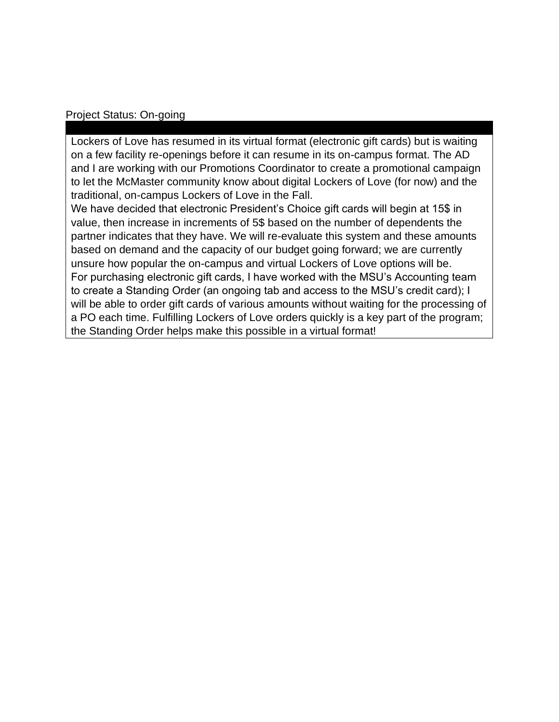#### Project Status: On-going

Lockers of Love has resumed in its virtual format (electronic gift cards) but is waiting on a few facility re-openings before it can resume in its on-campus format. The AD and I are working with our Promotions Coordinator to create a promotional campaign to let the McMaster community know about digital Lockers of Love (for now) and the traditional, on-campus Lockers of Love in the Fall.

We have decided that electronic President's Choice gift cards will begin at 15\$ in value, then increase in increments of 5\$ based on the number of dependents the partner indicates that they have. We will re-evaluate this system and these amounts based on demand and the capacity of our budget going forward; we are currently unsure how popular the on-campus and virtual Lockers of Love options will be. For purchasing electronic gift cards, I have worked with the MSU's Accounting team to create a Standing Order (an ongoing tab and access to the MSU's credit card); I will be able to order gift cards of various amounts without waiting for the processing of a PO each time. Fulfilling Lockers of Love orders quickly is a key part of the program; the Standing Order helps make this possible in a virtual format!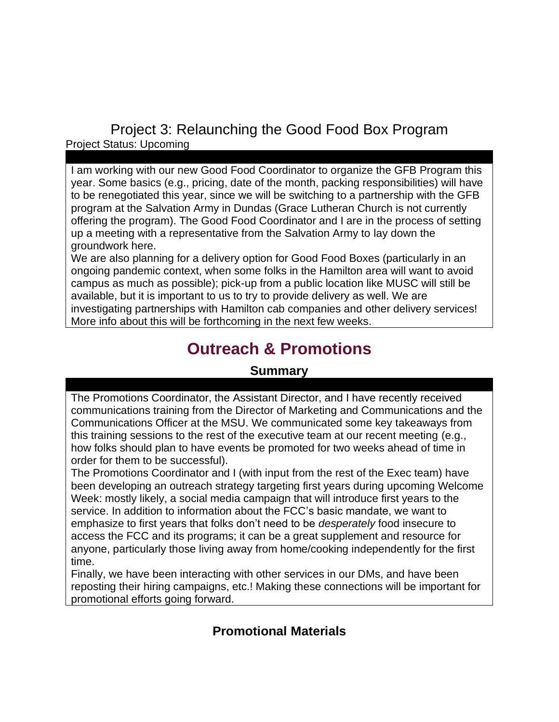Project 3: Relaunching the Good Food Box Program Project Status: Upcoming

I am working with our new Good Food Coordinator to organize the GFB Program this year. Some basics (e.g., pricing, date of the month, packing responsibilities) will have to be renegotiated this year, since we will be switching to a partnership with the GFB program at the Salvation Army in Dundas (Grace Lutheran Church is not currently offering the program). The Good Food Coordinator and I are in the process of setting up a meeting with a representative from the Salvation Army to lay down the groundwork here.

We are also planning for a delivery option for Good Food Boxes (particularly in an ongoing pandemic context, when some folks in the Hamilton area will want to avoid campus as much as possible); pick-up from a public location like MUSC will still be available, but it is important to us to try to provide delivery as well. We are investigating partnerships with Hamilton cab companies and other delivery services! More info about this will be forthcoming in the next few weeks.

# **Outreach & Promotions**

#### **Summary**

The Promotions Coordinator, the Assistant Director, and I have recently received communications training from the Director of Marketing and Communications and the Communications Officer at the MSU. We communicated some key takeaways from this training sessions to the rest of the executive team at our recent meeting (e.g., how folks should plan to have events be promoted for two weeks ahead of time in order for them to be successful).

The Promotions Coordinator and I (with input from the rest of the Exec team) have been developing an outreach strategy targeting first years during upcoming Welcome Week: mostly likely, a social media campaign that will introduce first years to the service. In addition to information about the FCC's basic mandate, we want to emphasize to first years that folks don't need to be *desperately* food insecure to access the FCC and its programs; it can be a great supplement and resource for anyone, particularly those living away from home/cooking independently for the first time.

Finally, we have been interacting with other services in our DMs, and have been reposting their hiring campaigns, etc.! Making these connections will be important for promotional efforts going forward.

#### **Promotional Materials**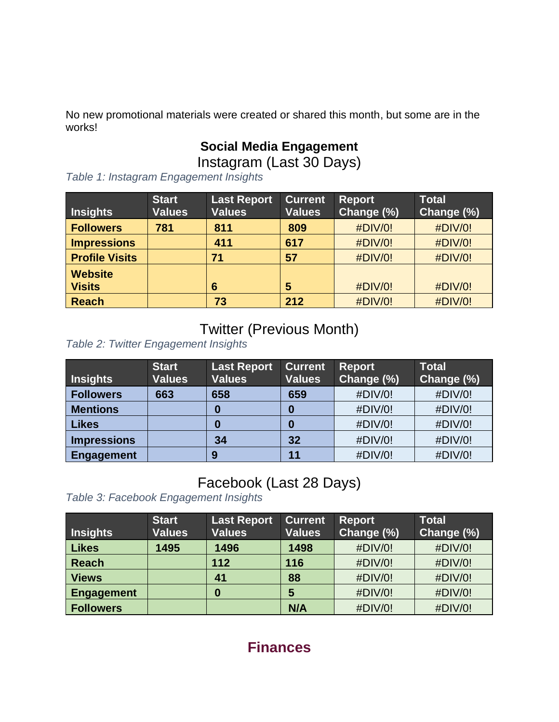No new promotional materials were created or shared this month, but some are in the works!

# **Social Media Engagement**

Instagram (Last 30 Days)

*Table 1: Instagram Engagement Insights*

| <b>Insights</b>                 | <b>Start</b><br><b>Values</b> | <b>Last Report</b><br><b>Values</b> | <b>Current</b><br><b>Values</b> | <b>Report</b><br>Change (%) | <b>Total</b><br>Change (%) |
|---------------------------------|-------------------------------|-------------------------------------|---------------------------------|-----------------------------|----------------------------|
| <b>Followers</b>                | 781                           | 811                                 | 809                             | #DIV/0!                     | #DIV/0!                    |
| <b>Impressions</b>              |                               | 411                                 | 617                             | #DIV/0!                     | #DIV/0!                    |
| <b>Profile Visits</b>           |                               | 71                                  | 57                              | #DIV/0!                     | #DIV/0!                    |
| <b>Website</b><br><b>Visits</b> |                               | 6                                   | 5                               | #DIV/0!                     | #DIV/0!                    |
| <b>Reach</b>                    |                               | 73                                  | 212                             | #DIV/0!                     | #DIV/0!                    |

## Twitter (Previous Month)

*Table 2: Twitter Engagement Insights*

| <b>Insights</b>    | <b>Start</b><br><b>Values</b> | <b>Last Report</b><br><b>Values</b> | <b>Current</b><br><b>Values</b> | <b>Report</b><br>Change (%) | <b>Total</b><br>Change (%) |
|--------------------|-------------------------------|-------------------------------------|---------------------------------|-----------------------------|----------------------------|
| <b>Followers</b>   | 663                           | 658                                 | 659                             | #DIV/0!                     | #DIV/0!                    |
| <b>Mentions</b>    |                               | 0                                   | 0                               | #DIV/0!                     | #DIV/0!                    |
| <b>Likes</b>       |                               | 0                                   | 0                               | #DIV/0!                     | #DIV/0!                    |
| <b>Impressions</b> |                               | 34                                  | 32                              | #DIV/0!                     | #DIV/0!                    |
| Engagement         |                               | 9                                   | 11                              | #DIV/0!                     | #DIV/0!                    |

## Facebook (Last 28 Days)

*Table 3: Facebook Engagement Insights*

| <b>Insights</b>   | <b>Start</b><br><b>Values</b> | <b>Last Report</b><br><b>Values</b> | <b>Current</b><br><b>Values</b> | <b>Report</b><br>Change (%) | <b>Total</b><br>Change (%) |
|-------------------|-------------------------------|-------------------------------------|---------------------------------|-----------------------------|----------------------------|
| <b>Likes</b>      | 1495                          | 1496                                | 1498                            | #DIV/0!                     | #DIV/0!                    |
| <b>Reach</b>      |                               | 112                                 | 116                             | #DIV/0!                     | #DIV/0!                    |
| <b>Views</b>      |                               | 41                                  | 88                              | #DIV/0!                     | #DIV/0!                    |
| <b>Engagement</b> |                               | 0                                   | 5                               | #DIV/0!                     | #DIV/0!                    |
| <b>Followers</b>  |                               |                                     | N/A                             | #DIV/0!                     | #DIV/0!                    |

## **Finances**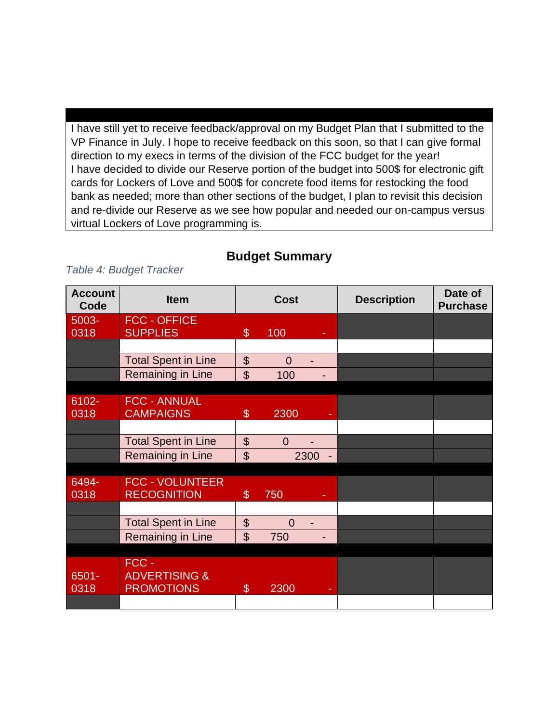I have still yet to receive feedback/approval on my Budget Plan that I submitted to the VP Finance in July. I hope to receive feedback on this soon, so that I can give formal direction to my execs in terms of the division of the FCC budget for the year! I have decided to divide our Reserve portion of the budget into 500\$ for electronic gift cards for Lockers of Love and 500\$ for concrete food items for restocking the food bank as needed; more than other sections of the budget, I plan to revisit this decision and re-divide our Reserve as we see how popular and needed our on-campus versus virtual Lockers of Love programming is.

#### **Budget Summary**

#### *Table 4: Budget Tracker*

| <b>Account</b><br>Code | <b>Item</b>                                            | <b>Cost</b>                |                |      | <b>Description</b> | Date of<br><b>Purchase</b> |
|------------------------|--------------------------------------------------------|----------------------------|----------------|------|--------------------|----------------------------|
| 5003-<br>0318          | <b>FCC - OFFICE</b><br><b>SUPPLIES</b>                 | $\$\$                      | 100            |      |                    |                            |
|                        |                                                        |                            |                |      |                    |                            |
|                        | <b>Total Spent in Line</b>                             | $\boldsymbol{\mathsf{S}}$  | $\Omega$       |      |                    |                            |
|                        | Remaining in Line                                      | $\mathfrak{S}$             | 100            |      |                    |                            |
|                        |                                                        |                            |                |      |                    |                            |
| 6102-<br>0318          | <b>FCC - ANNUAL</b><br><b>CAMPAIGNS</b>                | $\boldsymbol{\mathcal{S}}$ | 2300           | ٠    |                    |                            |
|                        |                                                        |                            |                |      |                    |                            |
|                        | <b>Total Spent in Line</b>                             | $\boldsymbol{\theta}$      | $\overline{0}$ |      |                    |                            |
|                        | Remaining in Line                                      | $\mathfrak{S}$             |                | 2300 |                    |                            |
|                        |                                                        |                            |                |      |                    |                            |
| 6494-<br>0318          | <b>FCC - VOLUNTEER</b><br><b>RECOGNITION</b>           | $\boldsymbol{\mathsf{S}}$  | 750            |      |                    |                            |
|                        |                                                        |                            |                |      |                    |                            |
|                        | <b>Total Spent in Line</b>                             | $\boldsymbol{\theta}$      | $\overline{0}$ |      |                    |                            |
|                        | Remaining in Line                                      | $\mathfrak{S}$             | 750            |      |                    |                            |
|                        |                                                        |                            |                |      |                    |                            |
| $6501 -$<br>0318       | FCC -<br><b>ADVERTISING &amp;</b><br><b>PROMOTIONS</b> | $\$\$                      | 2300           | ۰    |                    |                            |
|                        |                                                        |                            |                |      |                    |                            |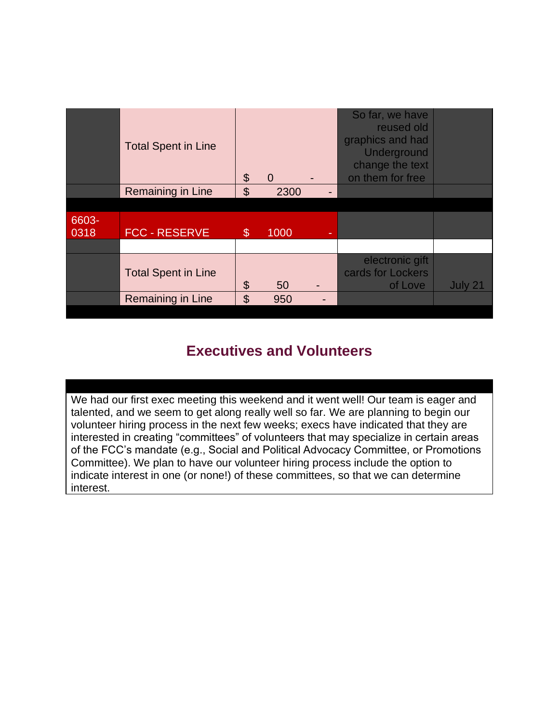|               | <b>Total Spent in Line</b> | \$             | $\Omega$ |   | So far, we have<br>reused old<br>graphics and had<br>Underground<br>change the text<br>on them for free |         |
|---------------|----------------------------|----------------|----------|---|---------------------------------------------------------------------------------------------------------|---------|
|               | Remaining in Line          | $\mathfrak{L}$ | 2300     |   |                                                                                                         |         |
|               |                            |                |          |   |                                                                                                         |         |
| 6603-<br>0318 | <b>FCC - RESERVE</b>       | $\mathcal{E}$  | 1000     | ۰ |                                                                                                         |         |
|               |                            |                |          |   |                                                                                                         |         |
|               | <b>Total Spent in Line</b> | \$             | 50       |   | electronic gift<br>cards for Lockers<br>of Love                                                         | July 21 |
|               | Remaining in Line          | \$             | 950      |   |                                                                                                         |         |
|               |                            |                |          |   |                                                                                                         |         |

## **Executives and Volunteers**

We had our first exec meeting this weekend and it went well! Our team is eager and talented, and we seem to get along really well so far. We are planning to begin our volunteer hiring process in the next few weeks; execs have indicated that they are interested in creating "committees" of volunteers that may specialize in certain areas of the FCC's mandate (e.g., Social and Political Advocacy Committee, or Promotions Committee). We plan to have our volunteer hiring process include the option to indicate interest in one (or none!) of these committees, so that we can determine interest.